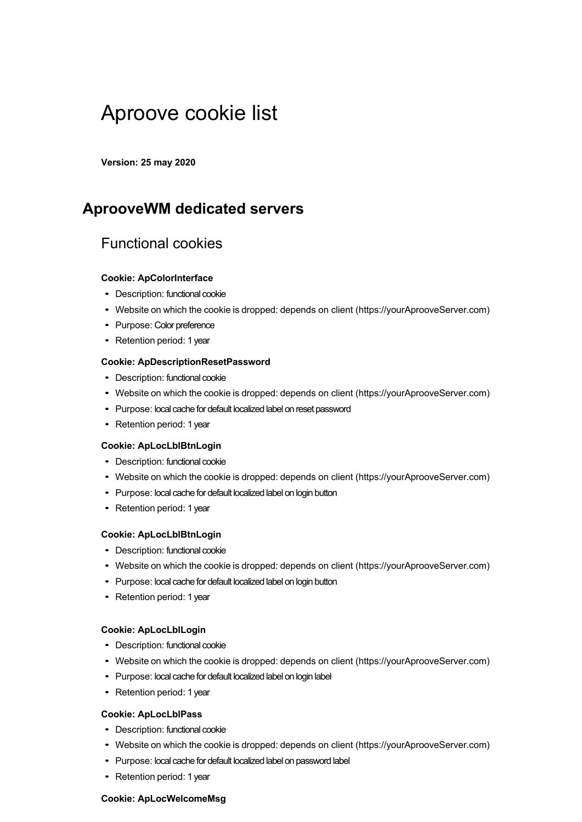# Aproove cookie list

**Version: 25 may 2020**

### **AprooveWM dedicated servers**

### Functional cookies

#### **Cookie: ApColorInterface**

- Description: functional cookie
- Website on which the cookie is dropped: depends on client (https://yourAprooveServer.com)
- Purpose: Color preference
- Retention period: 1 year

#### **Cookie: ApDescriptionResetPassword**

- Description: functional cookie
- Website on which the cookie is dropped: depends on client (https://yourAprooveServer.com)
- Purpose: local cache for default localized label on reset password
- Retention period: 1 year

#### **Cookie: ApLocLblBtnLogin**

- Description: functional cookie
- Website on which the cookie is dropped: depends on client (https://yourAprooveServer.com)
- Purpose: local cache for default localized label on login button
- Retention period: 1 year

#### **Cookie: ApLocLblBtnLogin**

- Description: functional cookie
- Website on which the cookie is dropped: depends on client (https://yourAprooveServer.com)
- Purpose: local cache for default localized label on login button
- Retention period: 1 year

#### **Cookie: ApLocLblLogin**

- Description: functional cookie
- Website on which the cookie is dropped: depends on client (https://yourAprooveServer.com)
- Purpose: local cache for default localized label on login label
- Retention period: 1 year

#### **Cookie: ApLocLblPass**

- Description: functional cookie
- Website on which the cookie is dropped: depends on client (https://yourAprooveServer.com)
- Purpose: local cache for default localized label on password label
- Retention period: 1 year

#### **Cookie: ApLocWelcomeMsg**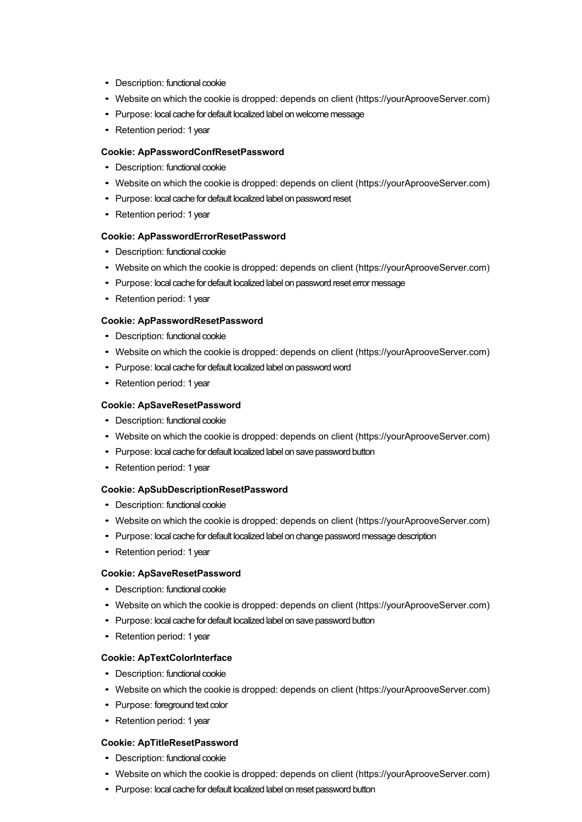- Description: functional cookie
- Website on which the cookie is dropped: depends on client (https://yourAprooveServer.com)
- Purpose: local cache for default localized label on welcome message
- Retention period: 1 year

#### **Cookie: ApPasswordConfResetPassword**

- Description: functional cookie
- Website on which the cookie is dropped: depends on client (https://yourAprooveServer.com)
- Purpose: local cache for default localized label on password reset
- Retention period: 1 year

#### **Cookie: ApPasswordErrorResetPassword**

- Description: functional cookie
- Website on which the cookie is dropped: depends on client (https://yourAprooveServer.com)
- Purpose: local cache for default localized label on password reset error message
- Retention period: 1 year

#### **Cookie: ApPasswordResetPassword**

- Description: functional cookie
- Website on which the cookie is dropped: depends on client (https://yourAprooveServer.com)
- Purpose: local cache for default localized label on password word
- Retention period: 1 year

#### **Cookie: ApSaveResetPassword**

- Description: functional cookie
- Website on which the cookie is dropped: depends on client (https://yourAprooveServer.com)
- Purpose: local cache for default localized label on save password button
- Retention period: 1 year

#### **Cookie: ApSubDescriptionResetPassword**

- Description: functional cookie
- Website on which the cookie is dropped: depends on client (https://yourAprooveServer.com)
- Purpose: local cache for default localized label on change password message description
- Retention period: 1 year

#### **Cookie: ApSaveResetPassword**

- Description: functional cookie
- Website on which the cookie is dropped: depends on client (https://yourAprooveServer.com)
- Purpose: local cache for default localized label on save password button
- Retention period: 1 year

#### **Cookie: ApTextColorInterface**

- Description: functional cookie
- Website on which the cookie is dropped: depends on client (https://yourAprooveServer.com)
- Purpose: foreground text color
- Retention period: 1 year

#### **Cookie: ApTitleResetPassword**

- Description: functional cookie
- Website on which the cookie is dropped: depends on client (https://yourAprooveServer.com)
- Purpose: local cache for default localized label on reset password button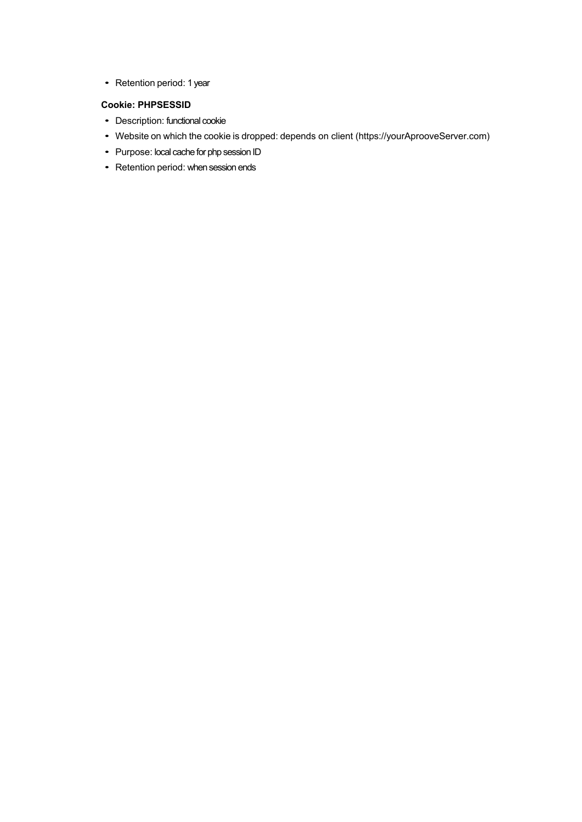• Retention period: 1 year

#### **Cookie: PHPSESSID**

- Description: functional cookie
- Website on which the cookie is dropped: depends on client (https://yourAprooveServer.com)
- Purpose: local cache for php session ID
- Retention period: when session ends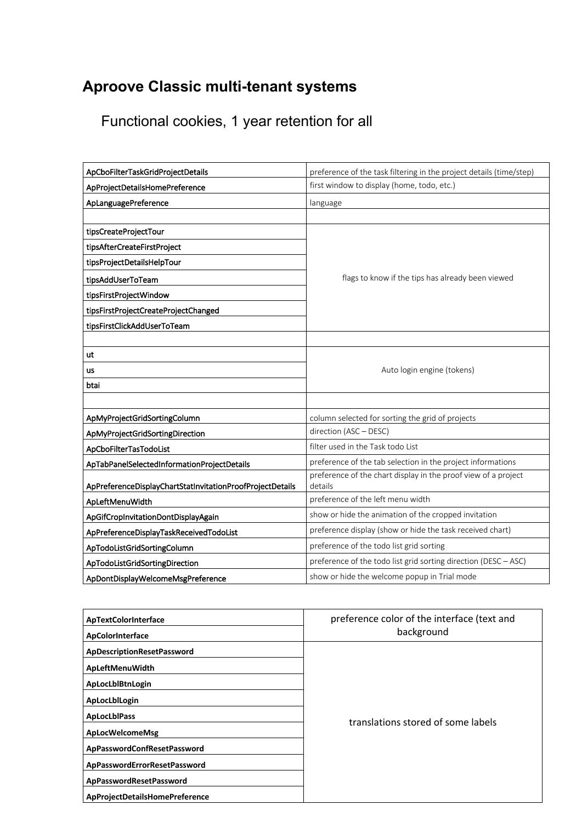## **Aproove Classic multi-tenant systems**

Functional cookies, 1 year retention for all

| ApCboFilterTaskGridProjectDetails                         | preference of the task filtering in the project details (time/step)       |
|-----------------------------------------------------------|---------------------------------------------------------------------------|
| ApProjectDetailsHomePreference                            | first window to display (home, todo, etc.)                                |
| ApLanguagePreference                                      | language                                                                  |
|                                                           |                                                                           |
| tipsCreateProjectTour                                     |                                                                           |
| tipsAfterCreateFirstProject                               |                                                                           |
| tipsProjectDetailsHelpTour                                |                                                                           |
| tipsAddUserToTeam                                         | flags to know if the tips has already been viewed                         |
| tipsFirstProjectWindow                                    |                                                                           |
| tipsFirstProjectCreateProjectChanged                      |                                                                           |
| tipsFirstClickAddUserToTeam                               |                                                                           |
|                                                           |                                                                           |
| ut                                                        |                                                                           |
| <b>us</b>                                                 | Auto login engine (tokens)                                                |
| btai                                                      |                                                                           |
|                                                           |                                                                           |
| ApMyProjectGridSortingColumn                              | column selected for sorting the grid of projects                          |
| ApMyProjectGridSortingDirection                           | direction (ASC - DESC)                                                    |
| ApCboFilterTasTodoList                                    | filter used in the Task todo List                                         |
| ApTabPanelSelectedInformationProjectDetails               | preference of the tab selection in the project informations               |
| ApPreferenceDisplayChartStatInvitationProofProjectDetails | preference of the chart display in the proof view of a project<br>details |
| ApLeftMenuWidth                                           | preference of the left menu width                                         |
| ApGifCropInvitationDontDisplayAgain                       | show or hide the animation of the cropped invitation                      |
| ApPreferenceDisplayTaskReceivedTodoList                   | preference display (show or hide the task received chart)                 |
| ApTodoListGridSortingColumn                               | preference of the todo list grid sorting                                  |
| ApTodoListGridSortingDirection                            | preference of the todo list grid sorting direction (DESC - ASC)           |
| ApDontDisplayWelcomeMsgPreference                         | show or hide the welcome popup in Trial mode                              |

| ApTextColorInterface           | preference color of the interface (text and |
|--------------------------------|---------------------------------------------|
| ApColorInterface               | background                                  |
| ApDescriptionResetPassword     | translations stored of some labels          |
| ApLeftMenuWidth                |                                             |
| ApLocLblBtnLogin               |                                             |
| ApLocLblLogin                  |                                             |
| <b>ApLocLbIPass</b>            |                                             |
| ApLocWelcomeMsg                |                                             |
| ApPasswordConfResetPassword    |                                             |
| ApPasswordErrorResetPassword   |                                             |
| ApPasswordResetPassword        |                                             |
| ApProjectDetailsHomePreference |                                             |